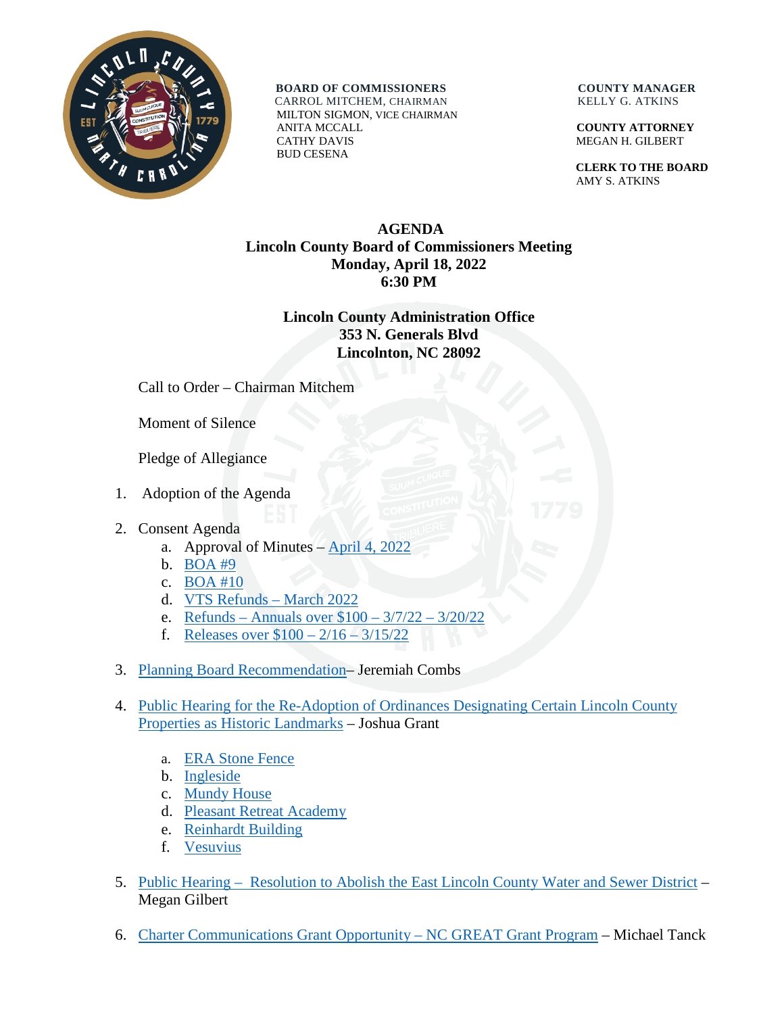

**BOARD OF COMMISSIONERS COUNTY MANAGER** CARROL MITCHEM, CHAIRMAN KELLY G. ATKINS

 MILTON SIGMON, VICE CHAIRMAN ANITA MCCALL **COUNTY ATTORNEY** CATHY DAVIS MEGAN H. GILBERT BUD CESENA

 **CLERK TO THE BOARD** AMY S. ATKINS

## **AGENDA Lincoln County Board of Commissioners Meeting Monday, April 18, 2022 6:30 PM**

## **Lincoln County Administration Office 353 N. Generals Blvd Lincolnton, NC 28092**

Call to Order – Chairman Mitchem

Moment of Silence

Pledge of Allegiance

- 1. Adoption of the Agenda
- 2. Consent Agenda
	- a. Approval of Minutes [April 4, 2022](https://www.lincolncounty.org/DocumentCenter/View/18851/040422)
	- b. [BOA #9](https://www.lincolncounty.org/DocumentCenter/View/18822/041822Item2b)
	- c. [BOA #10](https://www.lincolncounty.org/DocumentCenter/View/18823/041822Item2c)
	- d. [VTS Refunds](https://www.lincolncounty.org/DocumentCenter/View/18824/041822Item2d) March 2022
	- e. Refunds [Annuals over \\$100 –](https://www.lincolncounty.org/DocumentCenter/View/18825/041822Item2e) 3/7/22 3/20/22
	- f. [Releases over \\$100 –](https://www.lincolncounty.org/DocumentCenter/View/18826/041822Item2f) 2/16 3/15/22
- 3. [Planning Board Recommendation–](https://www.lincolncounty.org/DocumentCenter/View/18827/041822Item3) Jeremiah Combs
- 4. Public [Hearing for the Re-Adoption of Ordinances Designating Certain Lincoln County](https://www.lincolncounty.org/DocumentCenter/View/18828/041822Item4)  [Properties as Historic Landmarks](https://www.lincolncounty.org/DocumentCenter/View/18828/041822Item4) – Joshua Grant
	- a. [ERA Stone Fence](https://www.lincolncounty.org/DocumentCenter/View/18829/041822Item4a)
	- b. [Ingleside](https://www.lincolncounty.org/DocumentCenter/View/18830/041822Item4b)
	- c. [Mundy House](https://www.lincolncounty.org/DocumentCenter/View/18831/041822Item4c)
	- d. [Pleasant Retreat Academy](https://www.lincolncounty.org/DocumentCenter/View/18832/041822Item4d)
	- e. [Reinhardt Building](https://www.lincolncounty.org/DocumentCenter/View/18833/041822Item4e)
	- f. [Vesuvius](https://www.lincolncounty.org/DocumentCenter/View/18834/041822Item4f)
- 5. [Public Hearing Resolution to Abolish the East Lincoln County Water and Sewer District](https://www.lincolncounty.org/DocumentCenter/View/18835/041822Item5) Megan Gilbert
- 6. [Charter Communications Grant Opportunity –](https://www.lincolncounty.org/DocumentCenter/View/18860/041822Item6) NC GREAT Grant Program Michael Tanck